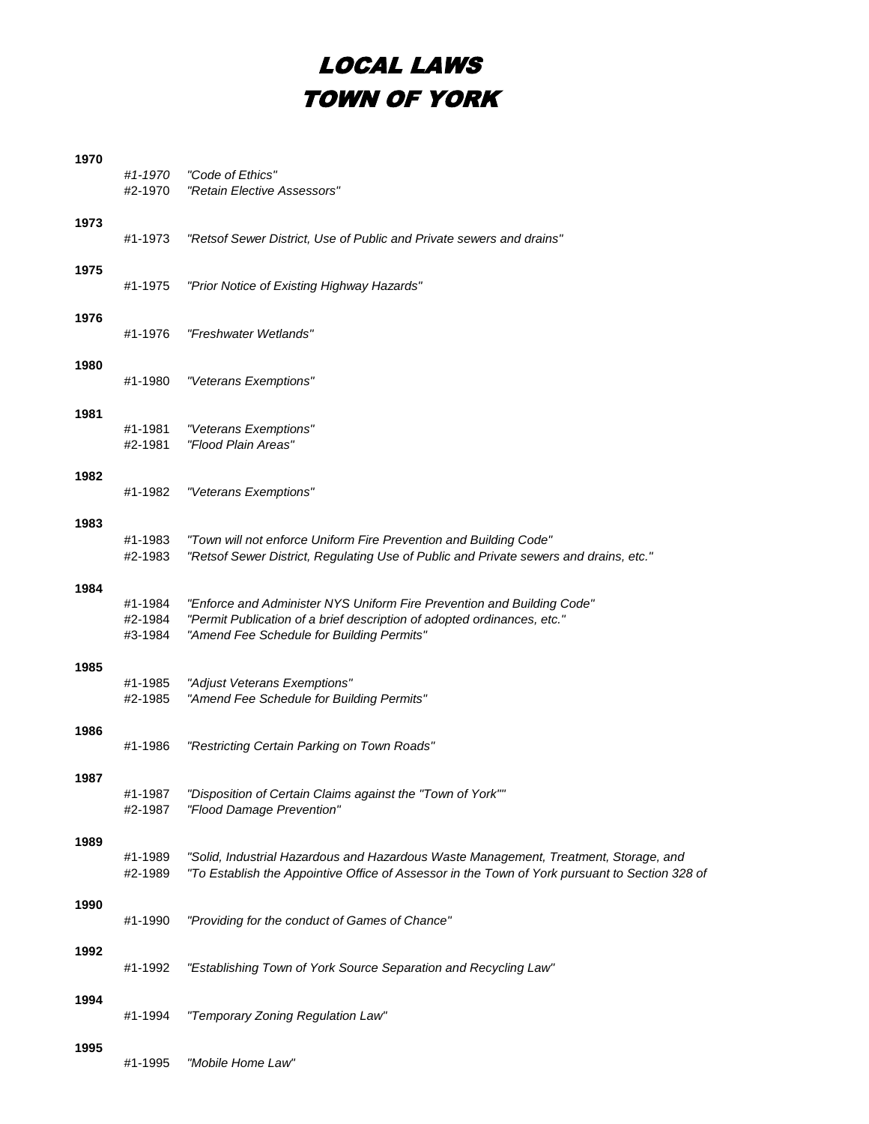## LOCAL LAWS TOWN OF YORK

| #1-1970 | "Code of Ethics"                                                                                |
|---------|-------------------------------------------------------------------------------------------------|
|         | "Retain Elective Assessors"                                                                     |
|         |                                                                                                 |
| #1-1973 | "Retsof Sewer District, Use of Public and Private sewers and drains"                            |
|         |                                                                                                 |
| #1-1975 | "Prior Notice of Existing Highway Hazards"                                                      |
|         |                                                                                                 |
| #1-1976 | "Freshwater Wetlands"                                                                           |
|         |                                                                                                 |
| #1-1980 | "Veterans Exemptions"                                                                           |
|         |                                                                                                 |
|         | "Veterans Exemptions"                                                                           |
| #2-1981 | "Flood Plain Areas"                                                                             |
|         |                                                                                                 |
| #1-1982 | "Veterans Exemptions"                                                                           |
|         |                                                                                                 |
|         | "Town will not enforce Uniform Fire Prevention and Building Code"                               |
| #2-1983 | "Retsof Sewer District, Regulating Use of Public and Private sewers and drains, etc."           |
|         |                                                                                                 |
| #1-1984 | "Enforce and Administer NYS Uniform Fire Prevention and Building Code"                          |
| #2-1984 | "Permit Publication of a brief description of adopted ordinances, etc."                         |
|         | "Amend Fee Schedule for Building Permits"                                                       |
|         |                                                                                                 |
|         | "Adjust Veterans Exemptions"<br>"Amend Fee Schedule for Building Permits"                       |
|         |                                                                                                 |
|         | "Restricting Certain Parking on Town Roads"                                                     |
|         |                                                                                                 |
|         |                                                                                                 |
| #2-1987 | "Disposition of Certain Claims against the "Town of York""<br>"Flood Damage Prevention"         |
|         |                                                                                                 |
|         | "Solid, Industrial Hazardous and Hazardous Waste Management, Treatment, Storage, and            |
| #2-1989 | "To Establish the Appointive Office of Assessor in the Town of York pursuant to Section 328 of  |
|         |                                                                                                 |
| #1-1990 | "Providing for the conduct of Games of Chance"                                                  |
|         |                                                                                                 |
| #1-1992 | "Establishing Town of York Source Separation and Recycling Law"                                 |
|         |                                                                                                 |
| #1-1994 | "Temporary Zoning Regulation Law"                                                               |
|         |                                                                                                 |
| #1-1995 | "Mobile Home Law"                                                                               |
|         | #2-1970<br>#1-1981<br>#1-1983<br>#3-1984<br>#1-1985<br>#2-1985<br>#1-1986<br>#1-1987<br>#1-1989 |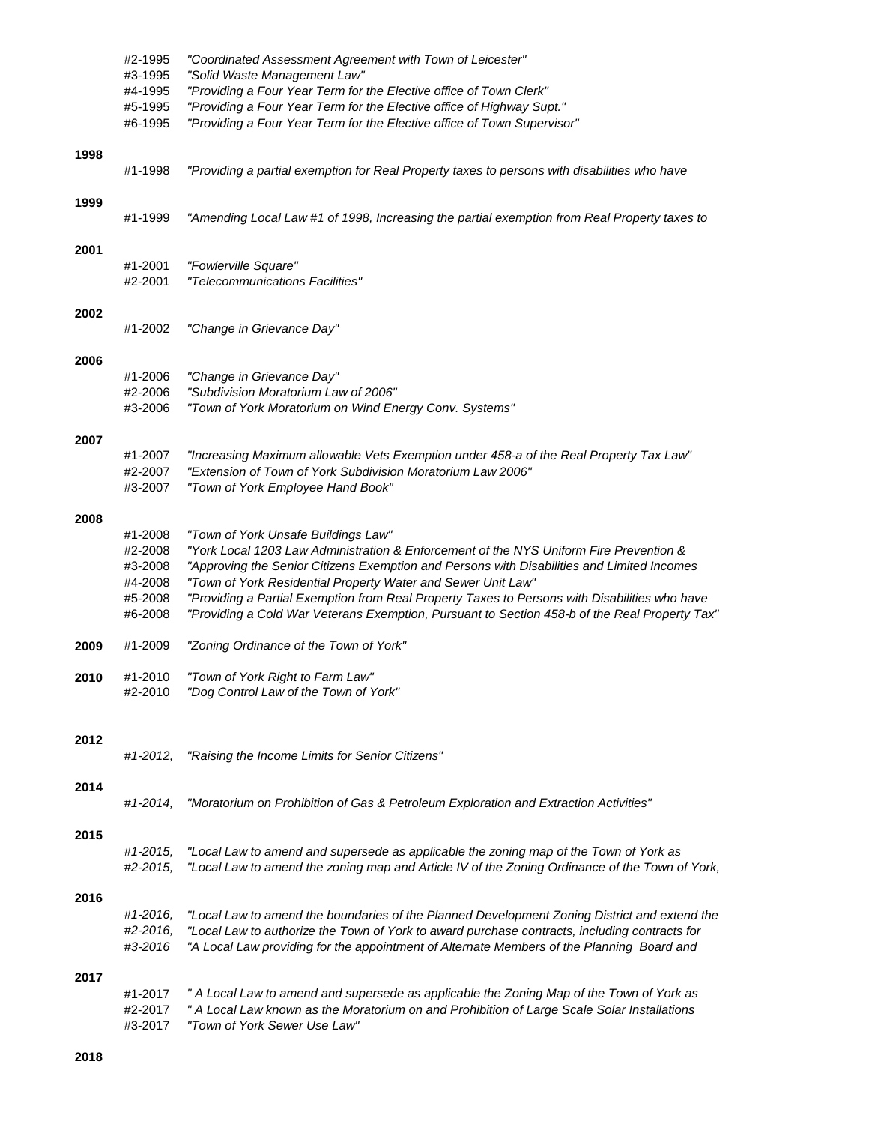|      | #2-1995            | "Coordinated Assessment Agreement with Town of Leicester"                                                                                                  |
|------|--------------------|------------------------------------------------------------------------------------------------------------------------------------------------------------|
|      | #3-1995<br>#4-1995 | "Solid Waste Management Law"<br>"Providing a Four Year Term for the Elective office of Town Clerk"                                                         |
|      | #5-1995            | "Providing a Four Year Term for the Elective office of Highway Supt."                                                                                      |
|      | #6-1995            | "Providing a Four Year Term for the Elective office of Town Supervisor"                                                                                    |
| 1998 |                    |                                                                                                                                                            |
|      | #1-1998            | "Providing a partial exemption for Real Property taxes to persons with disabilities who have                                                               |
| 1999 | #1-1999            | "Amending Local Law #1 of 1998, Increasing the partial exemption from Real Property taxes to                                                               |
| 2001 |                    |                                                                                                                                                            |
|      | #1-2001<br>#2-2001 | "Fowlerville Square"<br>"Telecommunications Facilities"                                                                                                    |
|      |                    |                                                                                                                                                            |
| 2002 | #1-2002            | "Change in Grievance Day"                                                                                                                                  |
| 2006 |                    |                                                                                                                                                            |
|      | #1-2006            | "Change in Grievance Day"                                                                                                                                  |
|      | #2-2006            | "Subdivision Moratorium Law of 2006"                                                                                                                       |
|      | #3-2006            | "Town of York Moratorium on Wind Energy Conv. Systems"                                                                                                     |
| 2007 |                    |                                                                                                                                                            |
|      | #1-2007            | "Increasing Maximum allowable Vets Exemption under 458-a of the Real Property Tax Law"                                                                     |
|      | #2-2007<br>#3-2007 | "Extension of Town of York Subdivision Moratorium Law 2006"<br>"Town of York Employee Hand Book"                                                           |
| 2008 |                    |                                                                                                                                                            |
|      | #1-2008            | "Town of York Unsafe Buildings Law"                                                                                                                        |
|      | #2-2008            | "York Local 1203 Law Administration & Enforcement of the NYS Uniform Fire Prevention &                                                                     |
|      | #3-2008<br>#4-2008 | "Approving the Senior Citizens Exemption and Persons with Disabilities and Limited Incomes<br>"Town of York Residential Property Water and Sewer Unit Law" |
|      | #5-2008            | "Providing a Partial Exemption from Real Property Taxes to Persons with Disabilities who have                                                              |
|      | #6-2008            | "Providing a Cold War Veterans Exemption, Pursuant to Section 458-b of the Real Property Tax"                                                              |
| 2009 | #1-2009            | "Zoning Ordinance of the Town of York"                                                                                                                     |
| 2010 | #1-2010            | "Town of York Right to Farm Law"                                                                                                                           |
|      | #2-2010            | "Dog Control Law of the Town of York"                                                                                                                      |
|      |                    |                                                                                                                                                            |
| 2012 | #1-2012.           | "Raising the Income Limits for Senior Citizens"                                                                                                            |
|      |                    |                                                                                                                                                            |
| 2014 | #1-2014,           | "Moratorium on Prohibition of Gas & Petroleum Exploration and Extraction Activities"                                                                       |
|      |                    |                                                                                                                                                            |
| 2015 | #1-2015,           | "Local Law to amend and supersede as applicable the zoning map of the Town of York as                                                                      |
|      | #2-2015,           | "Local Law to amend the zoning map and Article IV of the Zoning Ordinance of the Town of York,                                                             |
| 2016 |                    |                                                                                                                                                            |
|      | #1-2016,           | "Local Law to amend the boundaries of the Planned Development Zoning District and extend the                                                               |
|      | #2-2016,           | "Local Law to authorize the Town of York to award purchase contracts, including contracts for                                                              |
|      | #3-2016            | "A Local Law providing for the appointment of Alternate Members of the Planning Board and                                                                  |
| 2017 |                    |                                                                                                                                                            |
|      | #1-2017            | " A Local Law to amend and supersede as applicable the Zoning Map of the Town of York as                                                                   |
|      | #2-2017<br>#3-2017 | " A Local Law known as the Moratorium on and Prohibition of Large Scale Solar Installations<br>"Town of York Sewer Use Law"                                |
|      |                    |                                                                                                                                                            |
|      |                    |                                                                                                                                                            |